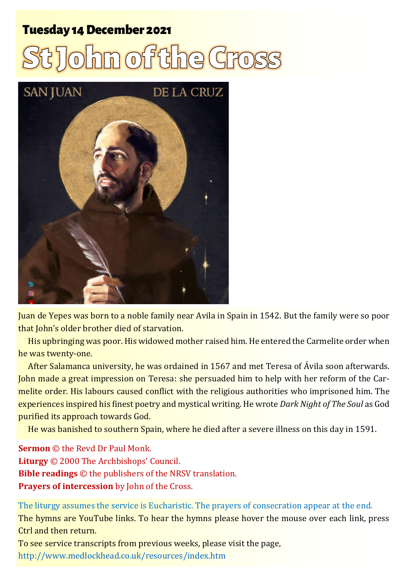#### **Tuesday 14 December 2021**

# hm of it he Cross



Juan de Yepes was born to a noble family near Avila in Spain in 1542. But the family were so poor that John's older brother died of starvation.

His upbringing was poor. His widowed mother raised him. He entered the Carmelite order when he was twenty-one.

After Salamanca university, he was ordained in 1567 and met Teresa of Ávila soon afterwards. John made a great impression on Teresa: she persuaded him to help with her reform of the Carmelite order. His labours caused conflict with the religious authorities who imprisoned him. The experiences inspired his finest poetry and mystical writing. He wrote *Dark Night of The Soul* as God purified its approach towards God.

He was banished to southern Spain, where he died after a severe illness on this day in 1591.

**Sermon** © the Revd Dr Paul Monk. **Liturgy** © 2000 The Archbishops' Council. **Bible readings** © the publishers of the NRSV translation. **Prayers of intercession** by John of the Cross.

The liturgy assumes the service is Eucharistic. The prayers of consecration appear at the end. The hymns are YouTube links. To hear the hymns please hover the mouse over each link, press Ctrl and then return. To see service transcripts from previous weeks, please visit the page,

<http://www.medlockhead.co.uk/resources/index.htm>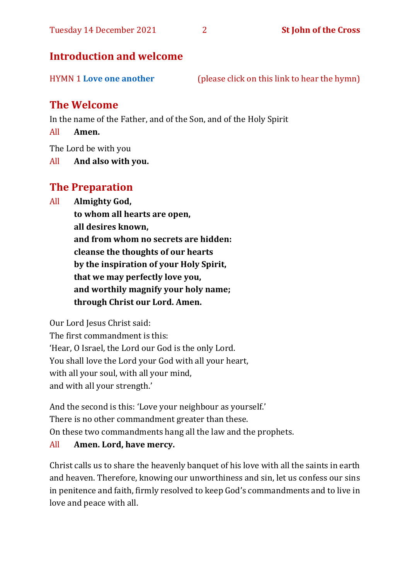#### **Introduction and welcome**

#### **The Welcome**

In the name of the Father, and of the Son, and of the Holy Spirit

All **Amen.**

The Lord be with you

All **And also with you.**

#### **The Preparation**

All **Almighty God,**

**to whom all hearts are open, all desires known, and from whom no secrets are hidden: cleanse the thoughts of our hearts by the inspiration of your Holy Spirit, that we may perfectly love you, and worthily magnify your holy name; through Christ our Lord. Amen.**

Our Lord Jesus Christ said:

The first commandment is this: 'Hear, O Israel, the Lord our God is the only Lord. You shall love the Lord your God with all your heart, with all your soul, with all your mind, and with all your strength.'

And the second is this: 'Love your neighbour as yourself.' There is no other commandment greater than these. On these two commandments hang all the law and the prophets.

#### All **Amen. Lord, have mercy.**

Christ calls us to share the heavenly banquet of his love with all the saints in earth and heaven. Therefore, knowing our unworthiness and sin, let us confess our sins in penitence and faith, firmly resolved to keep God's commandments and to live in love and peace with all.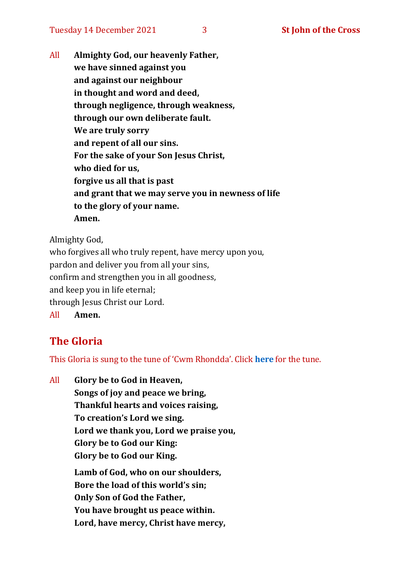All **Almighty God, our heavenly Father, we have sinned against you and against our neighbour in thought and word and deed, through negligence, through weakness, through our own deliberate fault. We are truly sorry and repent of all our sins. For the sake of your Son Jesus Christ, who died for us, forgive us all that is past and grant that we may serve you in newness of life to the glory of your name. Amen.**

Almighty God,

who forgives all who truly repent, have mercy upon you, pardon and deliver you from all your sins, confirm and strengthen you in all goodness, and keep you in life eternal; through Jesus Christ our Lord. All **Amen.**

#### **The Gloria**

This Gloria is sung to the tune of 'Cwm Rhondda'. Click **[here](https://www.youtube.com/watch?v=l71MLQ22dIk)** for the tune.

All **Glory be to God in Heaven, Songs of joy and peace we bring, Thankful hearts and voices raising, To creation's Lord we sing. Lord we thank you, Lord we praise you, Glory be to God our King: Glory be to God our King. Lamb of God, who on our shoulders, Bore the load of this world's sin; Only Son of God the Father, You have brought us peace within. Lord, have mercy, Christ have mercy,**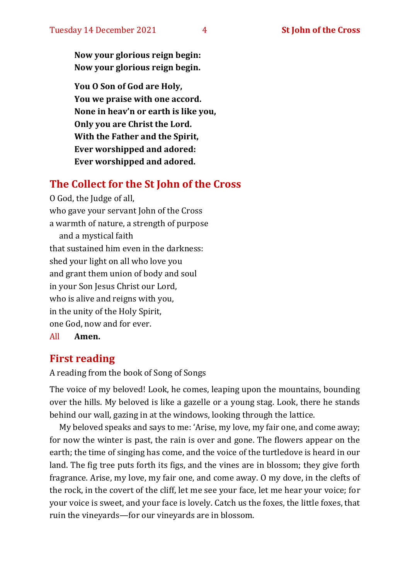**Now your glorious reign begin: Now your glorious reign begin.**

**You O Son of God are Holy, You we praise with one accord. None in heav'n or earth is like you, Only you are Christ the Lord. With the Father and the Spirit, Ever worshipped and adored: Ever worshipped and adored.**

#### **The Collect for the St John of the Cross**

O God, the Judge of all, who gave your servant John of the Cross a warmth of nature, a strength of purpose and a mystical faith that sustained him even in the darkness: shed your light on all who love you and grant them union of body and soul in your Son Jesus Christ our Lord, who is alive and reigns with you, in the unity of the Holy Spirit, one God, now and for ever. All **Amen.**

#### **First reading**

A reading from the book of Song of Songs

The voice of my beloved! Look, he comes, leaping upon the mountains, bounding over the hills. My beloved is like a gazelle or a young stag. Look, there he stands behind our wall, gazing in at the windows, looking through the lattice.

My beloved speaks and says to me: 'Arise, my love, my fair one, and come away; for now the winter is past, the rain is over and gone. The flowers appear on the earth; the time of singing has come, and the voice of the turtledove is heard in our land. The fig tree puts forth its figs, and the vines are in blossom; they give forth fragrance. Arise, my love, my fair one, and come away. O my dove, in the clefts of the rock, in the covert of the cliff, let me see your face, let me hear your voice; for your voice is sweet, and your face is lovely. Catch us the foxes, the little foxes, that ruin the vineyards—for our vineyards are in blossom.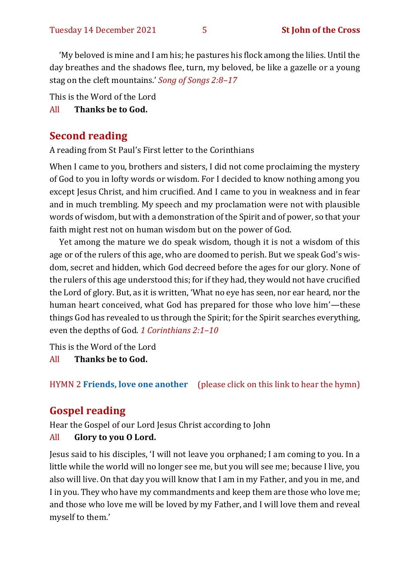'My beloved is mine and I am his; he pastures his flock among the lilies. Until the day breathes and the shadows flee, turn, my beloved, be like a gazelle or a young stag on the cleft mountains.' *Song of Songs 2:8–17*

This is the Word of the Lord

#### All **Thanks be to God.**

#### **Second reading**

A reading from St Paul's First letter to the Corinthians

When I came to you, brothers and sisters, I did not come proclaiming the mystery of God to you in lofty words or wisdom. For I decided to know nothing among you except Jesus Christ, and him crucified. And I came to you in weakness and in fear and in much trembling. My speech and my proclamation were not with plausible words of wisdom, but with a demonstration of the Spirit and of power, so that your faith might rest not on human wisdom but on the power of God.

Yet among the mature we do speak wisdom, though it is not a wisdom of this age or of the rulers of this age, who are doomed to perish. But we speak God's wisdom, secret and hidden, which God decreed before the ages for our glory. None of the rulers of this age understood this; for if they had, they would not have crucified the Lord of glory. But, as it is written, 'What no eye has seen, nor ear heard, nor the human heart conceived, what God has prepared for those who love him'—these things God has revealed to us through the Spirit; for the Spirit searches everything, even the depths of God. *1 Corinthians 2:1–10*

This is the Word of the Lord

All **Thanks be to God.**

HYMN 2 **[Friends, love one another](https://www.youtube.com/watch?v=gifieV1yAUU)** (please click on this link to hear the hymn)

### **Gospel reading**

Hear the Gospel of our Lord Jesus Christ according to John

#### All **Glory to you O Lord.**

Jesus said to his disciples, 'I will not leave you orphaned; I am coming to you. In a little while the world will no longer see me, but you will see me; because I live, you also will live. On that day you will know that I am in my Father, and you in me, and I in you. They who have my commandments and keep them are those who love me; and those who love me will be loved by my Father, and I will love them and reveal myself to them.'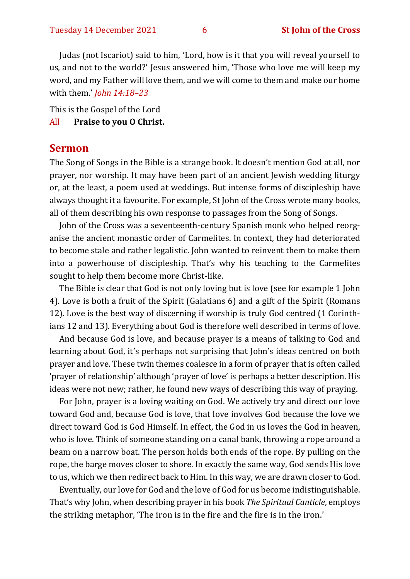Judas (not Iscariot) said to him, 'Lord, how is it that you will reveal yourself to us, and not to the world?' Jesus answered him, 'Those who love me will keep my word, and my Father will love them, and we will come to them and make our home with them.' *John 14:18–23*

This is the Gospel of the Lord

#### All **Praise to you O Christ.**

#### **Sermon**

The Song of Songs in the Bible is a strange book. It doesn't mention God at all, nor prayer, nor worship. It may have been part of an ancient Jewish wedding liturgy or, at the least, a poem used at weddings. But intense forms of discipleship have always thought it a favourite. For example, St John of the Cross wrote many books, all of them describing his own response to passages from the Song of Songs.

John of the Cross was a seventeenth-century Spanish monk who helped reorganise the ancient monastic order of Carmelites. In context, they had deteriorated to become stale and rather legalistic. John wanted to reinvent them to make them into a powerhouse of discipleship. That's why his teaching to the Carmelites sought to help them become more Christ-like.

The Bible is clear that God is not only loving but is love (see for example 1 John 4). Love is both a fruit of the Spirit (Galatians 6) and a gift of the Spirit (Romans 12). Love is the best way of discerning if worship is truly God centred (1 Corinthians 12 and 13). Everything about God is therefore well described in terms of love.

And because God is love, and because prayer is a means of talking to God and learning about God, it's perhaps not surprising that John's ideas centred on both prayer and love. These twin themes coalesce in a form of prayer that is often called 'prayer of relationship' although 'prayer of love' is perhaps a better description. His ideas were not new; rather, he found new ways of describing this way of praying.

For John, prayer is a loving waiting on God. We actively try and direct our love toward God and, because God is love, that love involves God because the love we direct toward God is God Himself. In effect, the God in us loves the God in heaven, who is love. Think of someone standing on a canal bank, throwing a rope around a beam on a narrow boat. The person holds both ends of the rope. By pulling on the rope, the barge moves closer to shore. In exactly the same way, God sends His love to us, which we then redirect back to Him. In this way, we are drawn closer to God.

Eventually, our love for God and the love of God for us become indistinguishable. That's why John, when describing prayer in his book *The Spiritual Canticle*, employs the striking metaphor, 'The iron is in the fire and the fire is in the iron.'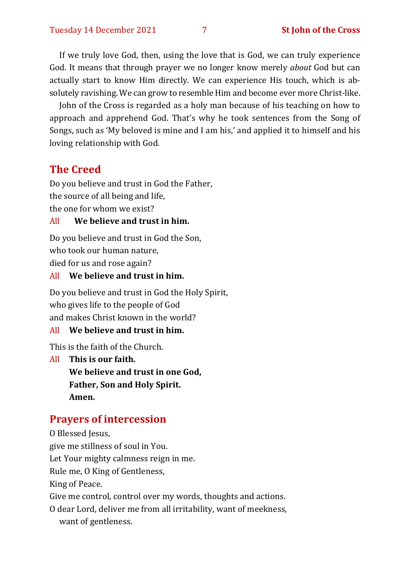If we truly love God, then, using the love that is God, we can truly experience God. It means that through prayer we no longer know merely *about* God but can actually start to know Him directly. We can experience His touch, which is absolutely ravishing. We can grow to resemble Him and become ever more Christ-like.

John of the Cross is regarded as a holy man because of his teaching on how to approach and apprehend God. That's why he took sentences from the Song of Songs, such as 'My beloved is mine and I am his,' and applied it to himself and his loving relationship with God.

#### **The Creed**

Do you believe and trust in God the Father, the source of all being and life, the one for whom we exist?

#### All **We believe and trust in him.**

Do you believe and trust in God the Son, who took our human nature, died for us and rose again?

All **We believe and trust in him.**

Do you believe and trust in God the Holy Spirit, who gives life to the people of God and makes Christ known in the world?

#### All **We believe and trust in him.**

This is the faith of the Church.

All **This is our faith. We believe and trust in one God, Father, Son and Holy Spirit. Amen.**

#### **Prayers of intercession**

O Blessed Jesus, give me stillness of soul in You. Let Your mighty calmness reign in me. Rule me, O King of Gentleness, King of Peace. Give me control, control over my words, thoughts and actions. O dear Lord, deliver me from all irritability, want of meekness, want of gentleness.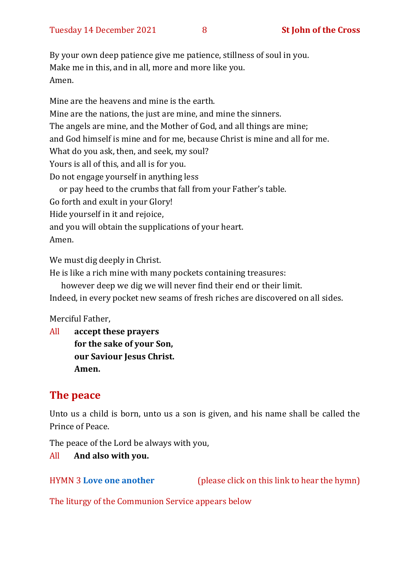By your own deep patience give me patience, stillness of soul in you. Make me in this, and in all, more and more like you. Amen.

Mine are the heavens and mine is the earth. Mine are the nations, the just are mine, and mine the sinners. The angels are mine, and the Mother of God, and all things are mine; and God himself is mine and for me, because Christ is mine and all for me. What do you ask, then, and seek, my soul? Yours is all of this, and all is for you. Do not engage yourself in anything less or pay heed to the crumbs that fall from your Father's table. Go forth and exult in your Glory!

Hide yourself in it and rejoice,

and you will obtain the supplications of your heart.

Amen.

We must dig deeply in Christ.

He is like a rich mine with many pockets containing treasures:

however deep we dig we will never find their end or their limit.

Indeed, in every pocket new seams of fresh riches are discovered on all sides.

Merciful Father,

All **accept these prayers for the sake of your Son, our Saviour Jesus Christ. Amen.**

#### **The peace**

Unto us a child is born, unto us a son is given, and his name shall be called the Prince of Peace.

The peace of the Lord be always with you,

#### All **And also with you.**

HYMN 3 **[Love one another](https://www.youtube.com/watch?v=DzP2xprUeAQ)** (please click on this link to hear the hymn)

The liturgy of the Communion Service appears below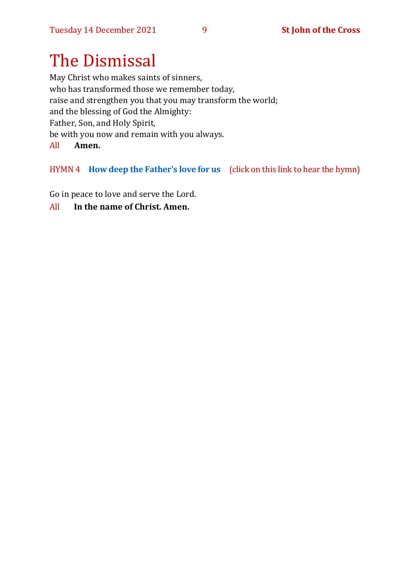## The Dismissal

May Christ who makes saints of sinners, who has transformed those we remember today, raise and strengthen you that you may transform the world; and the blessing of God the Almighty: Father, Son, and Holy Spirit, be with you now and remain with you always. All **Amen.**

#### HYMN 4 **[How deep the Father](https://www.youtube.com/watch?v=e9FG12eTSbI)'s love for us** (click on this link to hear the hymn)

Go in peace to love and serve the Lord.

#### All **In the name of Christ. Amen.**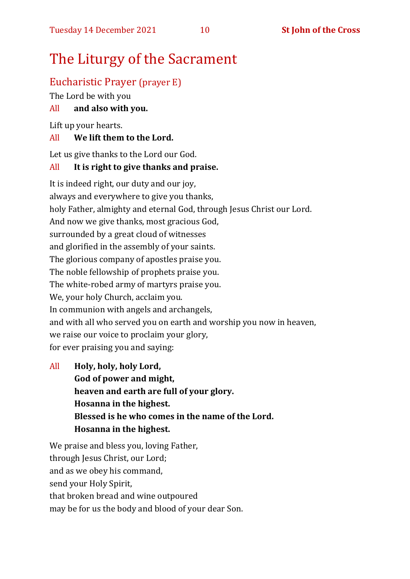## The Liturgy of the Sacrament

#### Eucharistic Prayer (prayer E)

The Lord be with you

#### All **and also with you.**

Lift up your hearts.

#### All **We lift them to the Lord.**

Let us give thanks to the Lord our God.

#### All **It is right to give thanks and praise.**

It is indeed right, our duty and our joy, always and everywhere to give you thanks, holy Father, almighty and eternal God, through Jesus Christ our Lord. And now we give thanks, most gracious God, surrounded by a great cloud of witnesses and glorified in the assembly of your saints. The glorious company of apostles praise you. The noble fellowship of prophets praise you. The white-robed army of martyrs praise you. We, your holy Church, acclaim you. In communion with angels and archangels, and with all who served you on earth and worship you now in heaven, we raise our voice to proclaim your glory, for ever praising you and saying:

All **Holy, holy, holy Lord, God of power and might, heaven and earth are full of your glory. Hosanna in the highest. Blessed is he who comes in the name of the Lord. Hosanna in the highest.**

We praise and bless you, loving Father, through Jesus Christ, our Lord; and as we obey his command, send your Holy Spirit, that broken bread and wine outpoured may be for us the body and blood of your dear Son.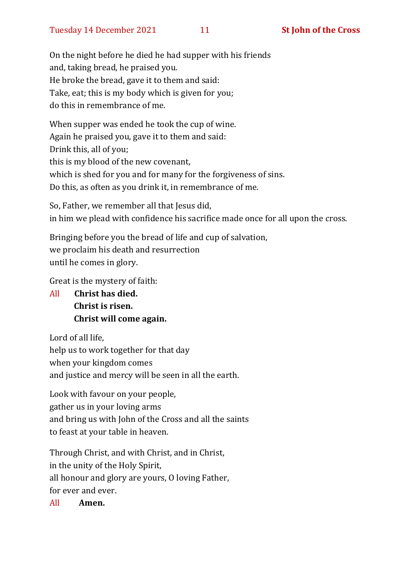On the night before he died he had supper with his friends and, taking bread, he praised you. He broke the bread, gave it to them and said: Take, eat; this is my body which is given for you; do this in remembrance of me.

When supper was ended he took the cup of wine. Again he praised you, gave it to them and said: Drink this, all of you; this is my blood of the new covenant, which is shed for you and for many for the forgiveness of sins. Do this, as often as you drink it, in remembrance of me.

So, Father, we remember all that Jesus did, in him we plead with confidence his sacrifice made once for all upon the cross.

Bringing before you the bread of life and cup of salvation, we proclaim his death and resurrection until he comes in glory.

Great is the mystery of faith:

All **Christ has died. Christ is risen. Christ will come again.**

Lord of all life, help us to work together for that day when your kingdom comes and justice and mercy will be seen in all the earth.

Look with favour on your people, gather us in your loving arms and bring us with John of the Cross and all the saints to feast at your table in heaven.

Through Christ, and with Christ, and in Christ, in the unity of the Holy Spirit, all honour and glory are yours, O loving Father, for ever and ever.

All **Amen.**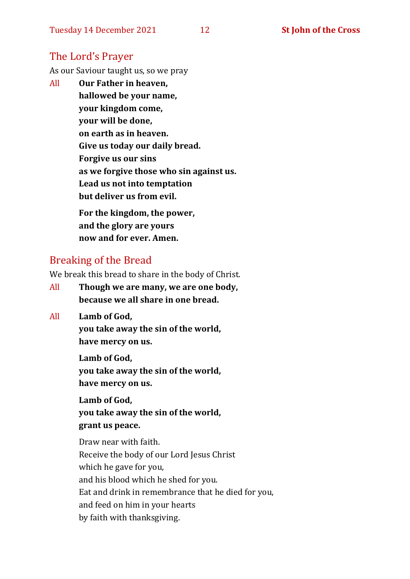#### The Lord's Prayer

As our Saviour taught us, so we pray

All **Our Father in heaven, hallowed be your name, your kingdom come, your will be done, on earth as in heaven. Give us today our daily bread. Forgive us our sins as we forgive those who sin against us. Lead us not into temptation but deliver us from evil. For the kingdom, the power,** 

**and the glory are yours now and for ever. Amen.**

#### Breaking of the Bread

We break this bread to share in the body of Christ.

- All **Though we are many, we are one body, because we all share in one bread.**
- All **Lamb of God,**

**you take away the sin of the world, have mercy on us.**

**Lamb of God, you take away the sin of the world, have mercy on us.**

**Lamb of God, you take away the sin of the world, grant us peace.**

Draw near with faith. Receive the body of our Lord Jesus Christ which he gave for you, and his blood which he shed for you. Eat and drink in remembrance that he died for you, and feed on him in your hearts by faith with thanksgiving.